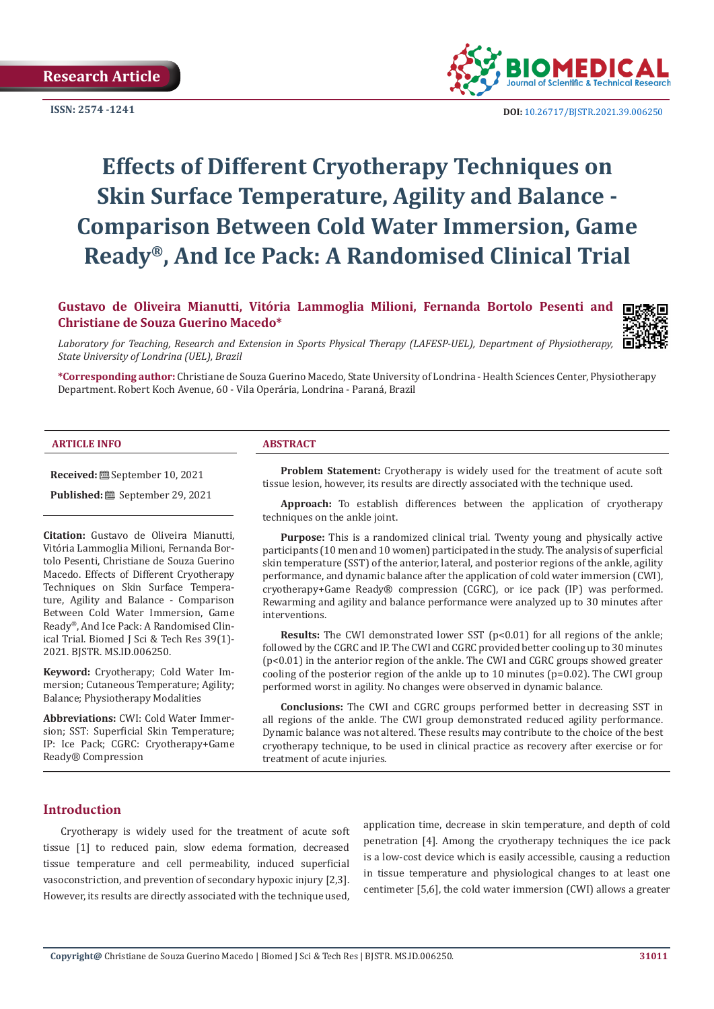**ISSN: 2574 -1241**



 **DOI:** [10.26717/BJSTR.2021.39.006250](https://dx.doi.org/10.26717/BJSTR.2021.39.006250)

# **Effects of Different Cryotherapy Techniques on Skin Surface Temperature, Agility and Balance - Comparison Between Cold Water Immersion, Game Ready®, And Ice Pack: A Randomised Clinical Trial**

#### **Gustavo de Oliveira Mianutti, Vitória Lammoglia Milioni, Fernanda Bortolo Pesenti and**  回來教回 **Christiane de Souza Guerino Macedo\***

*Laboratory for Teaching, Research and Extension in Sports Physical Therapy (LAFESP-UEL), Department of Physiotherapy, State University of Londrina (UEL), Brazil*

**\*Corresponding author:** Christiane de Souza Guerino Macedo, State University of Londrina - Health Sciences Center, Physiotherapy Department. Robert Koch Avenue, 60 - Vila Operária, Londrina - Paraná, Brazil

#### **ARTICLE INFO ABSTRACT**

**Received:** September 10, 2021

Published: **is** September 29, 2021

**Citation:** Gustavo de Oliveira Mianutti, Vitória Lammoglia Milioni, Fernanda Bortolo Pesenti, Christiane de Souza Guerino Macedo. Effects of Different Cryotherapy Techniques on Skin Surface Temperature, Agility and Balance - Comparison Between Cold Water Immersion, Game Ready®, And Ice Pack: A Randomised Clinical Trial. Biomed J Sci & Tech Res 39(1)- 2021. BJSTR. MS.ID.006250.

**Keyword:** Cryotherapy; Cold Water Immersion; Cutaneous Temperature; Agility; Balance; Physiotherapy Modalities

**Abbreviations:** CWI: Cold Water Immersion; SST: Superficial Skin Temperature; IP: Ice Pack; CGRC: Cryotherapy+Game Ready® Compression

**Problem Statement:** Cryotherapy is widely used for the treatment of acute soft tissue lesion, however, its results are directly associated with the technique used.

**Approach:** To establish differences between the application of cryotherapy techniques on the ankle joint.

**Purpose:** This is a randomized clinical trial. Twenty young and physically active participants (10 men and 10 women) participated in the study. The analysis of superficial skin temperature (SST) of the anterior, lateral, and posterior regions of the ankle, agility performance, and dynamic balance after the application of cold water immersion (CWI), cryotherapy+Game Ready® compression (CGRC), or ice pack (IP) was performed. Rewarming and agility and balance performance were analyzed up to 30 minutes after interventions.

**Results:** The CWI demonstrated lower SST (p<0.01) for all regions of the ankle; followed by the CGRC and IP. The CWI and CGRC provided better cooling up to 30 minutes (p<0.01) in the anterior region of the ankle. The CWI and CGRC groups showed greater cooling of the posterior region of the ankle up to 10 minutes (p=0.02). The CWI group performed worst in agility. No changes were observed in dynamic balance.

**Conclusions:** The CWI and CGRC groups performed better in decreasing SST in all regions of the ankle. The CWI group demonstrated reduced agility performance. Dynamic balance was not altered. These results may contribute to the choice of the best cryotherapy technique, to be used in clinical practice as recovery after exercise or for treatment of acute injuries.

### **Introduction**

Cryotherapy is widely used for the treatment of acute soft tissue [1] to reduced pain, slow edema formation, decreased tissue temperature and cell permeability, induced superficial vasoconstriction, and prevention of secondary hypoxic injury [2,3]. However, its results are directly associated with the technique used, application time, decrease in skin temperature, and depth of cold penetration [4]. Among the cryotherapy techniques the ice pack is a low-cost device which is easily accessible, causing a reduction in tissue temperature and physiological changes to at least one centimeter [5,6], the cold water immersion (CWI) allows a greater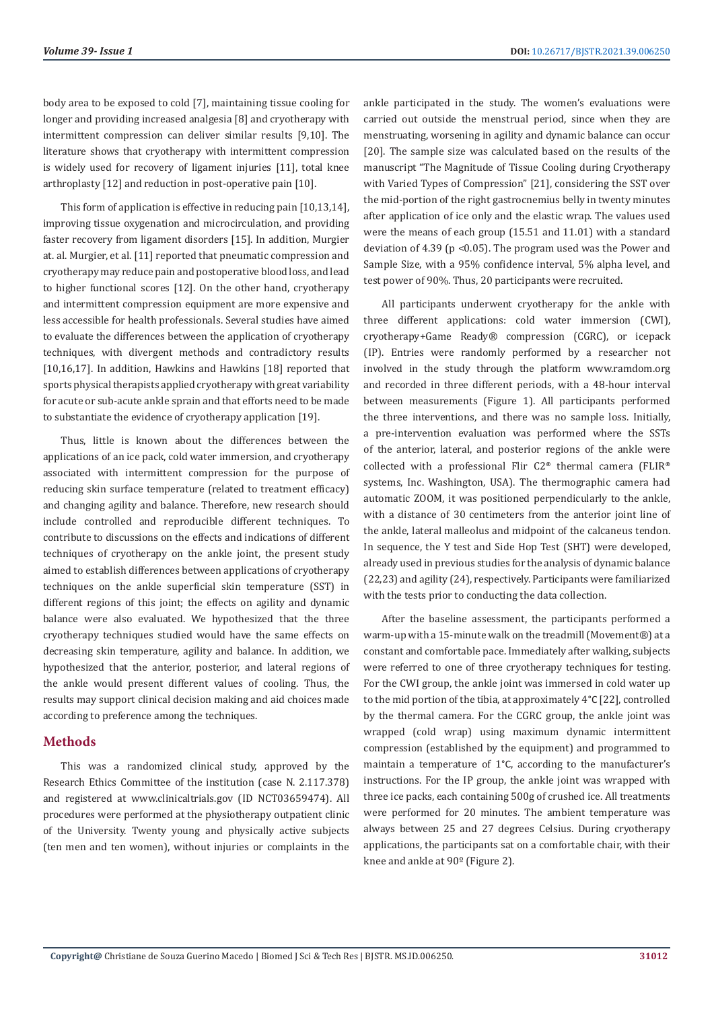body area to be exposed to cold [7], maintaining tissue cooling for longer and providing increased analgesia [8] and cryotherapy with intermittent compression can deliver similar results [9,10]. The literature shows that cryotherapy with intermittent compression is widely used for recovery of ligament injuries [11], total knee arthroplasty [12] and reduction in post-operative pain [10].

This form of application is effective in reducing pain [10,13,14], improving tissue oxygenation and microcirculation, and providing faster recovery from ligament disorders [15]. In addition, Murgier at. al. Murgier, et al. [11] reported that pneumatic compression and cryotherapy may reduce pain and postoperative blood loss, and lead to higher functional scores [12]. On the other hand, cryotherapy and intermittent compression equipment are more expensive and less accessible for health professionals. Several studies have aimed to evaluate the differences between the application of cryotherapy techniques, with divergent methods and contradictory results [10,16,17]. In addition, Hawkins and Hawkins [18] reported that sports physical therapists applied cryotherapy with great variability for acute or sub-acute ankle sprain and that efforts need to be made to substantiate the evidence of cryotherapy application [19].

Thus, little is known about the differences between the applications of an ice pack, cold water immersion, and cryotherapy associated with intermittent compression for the purpose of reducing skin surface temperature (related to treatment efficacy) and changing agility and balance. Therefore, new research should include controlled and reproducible different techniques. To contribute to discussions on the effects and indications of different techniques of cryotherapy on the ankle joint, the present study aimed to establish differences between applications of cryotherapy techniques on the ankle superficial skin temperature (SST) in different regions of this joint; the effects on agility and dynamic balance were also evaluated. We hypothesized that the three cryotherapy techniques studied would have the same effects on decreasing skin temperature, agility and balance. In addition, we hypothesized that the anterior, posterior, and lateral regions of the ankle would present different values of cooling. Thus, the results may support clinical decision making and aid choices made according to preference among the techniques.

# **Methods**

This was a randomized clinical study, approved by the Research Ethics Committee of the institution (case N. 2.117.378) and registered at www.clinicaltrials.gov (ID NCT03659474). All procedures were performed at the physiotherapy outpatient clinic of the University. Twenty young and physically active subjects (ten men and ten women), without injuries or complaints in the ankle participated in the study. The women's evaluations were carried out outside the menstrual period, since when they are menstruating, worsening in agility and dynamic balance can occur [20]. The sample size was calculated based on the results of the manuscript "The Magnitude of Tissue Cooling during Cryotherapy with Varied Types of Compression" [21], considering the SST over the mid-portion of the right gastrocnemius belly in twenty minutes after application of ice only and the elastic wrap. The values used were the means of each group (15.51 and 11.01) with a standard deviation of 4.39 (p <0.05). The program used was the Power and Sample Size, with a 95% confidence interval, 5% alpha level, and test power of 90%. Thus, 20 participants were recruited.

All participants underwent cryotherapy for the ankle with three different applications: cold water immersion (CWI), cryotherapy+Game Ready® compression (CGRC), or icepack (IP). Entries were randomly performed by a researcher not involved in the study through the platform www.ramdom.org and recorded in three different periods, with a 48-hour interval between measurements (Figure 1). All participants performed the three interventions, and there was no sample loss. Initially, a pre-intervention evaluation was performed where the SSTs of the anterior, lateral, and posterior regions of the ankle were collected with a professional Flir C2® thermal camera (FLIR® systems, Inc. Washington, USA). The thermographic camera had automatic ZOOM, it was positioned perpendicularly to the ankle, with a distance of 30 centimeters from the anterior joint line of the ankle, lateral malleolus and midpoint of the calcaneus tendon. In sequence, the Y test and Side Hop Test (SHT) were developed, already used in previous studies for the analysis of dynamic balance (22,23) and agility (24), respectively. Participants were familiarized with the tests prior to conducting the data collection.

After the baseline assessment, the participants performed a warm-up with a 15-minute walk on the treadmill (Movement®) at a constant and comfortable pace. Immediately after walking, subjects were referred to one of three cryotherapy techniques for testing. For the CWI group, the ankle joint was immersed in cold water up to the mid portion of the tibia, at approximately 4°C [22], controlled by the thermal camera. For the CGRC group, the ankle joint was wrapped (cold wrap) using maximum dynamic intermittent compression (established by the equipment) and programmed to maintain a temperature of 1°C, according to the manufacturer's instructions. For the IP group, the ankle joint was wrapped with three ice packs, each containing 500g of crushed ice. All treatments were performed for 20 minutes. The ambient temperature was always between 25 and 27 degrees Celsius. During cryotherapy applications, the participants sat on a comfortable chair, with their knee and ankle at 90º (Figure 2).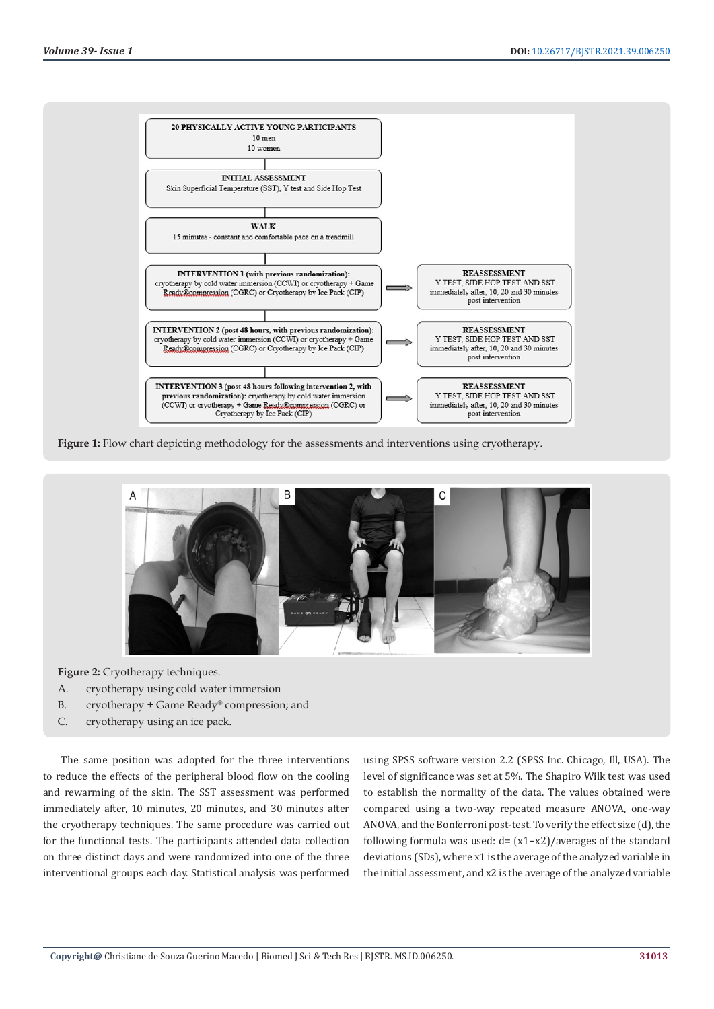

**Figure 1:** Flow chart depicting methodology for the assessments and interventions using cryotherapy.



**Figure 2:** Cryotherapy techniques.

- A. cryotherapy using cold water immersion
- B. cryotherapy + Game Ready® compression; and
- C. cryotherapy using an ice pack.

The same position was adopted for the three interventions to reduce the effects of the peripheral blood flow on the cooling and rewarming of the skin. The SST assessment was performed immediately after, 10 minutes, 20 minutes, and 30 minutes after the cryotherapy techniques. The same procedure was carried out for the functional tests. The participants attended data collection on three distinct days and were randomized into one of the three interventional groups each day. Statistical analysis was performed using SPSS software version 2.2 (SPSS Inc. Chicago, Ill, USA). The level of significance was set at 5%. The Shapiro Wilk test was used to establish the normality of the data. The values obtained were compared using a two-way repeated measure ANOVA, one-way ANOVA, and the Bonferroni post-test. To verify the effect size (d), the following formula was used: d= (x1−x2)/averages of the standard deviations (SDs), where x1 is the average of the analyzed variable in the initial assessment, and x2 is the average of the analyzed variable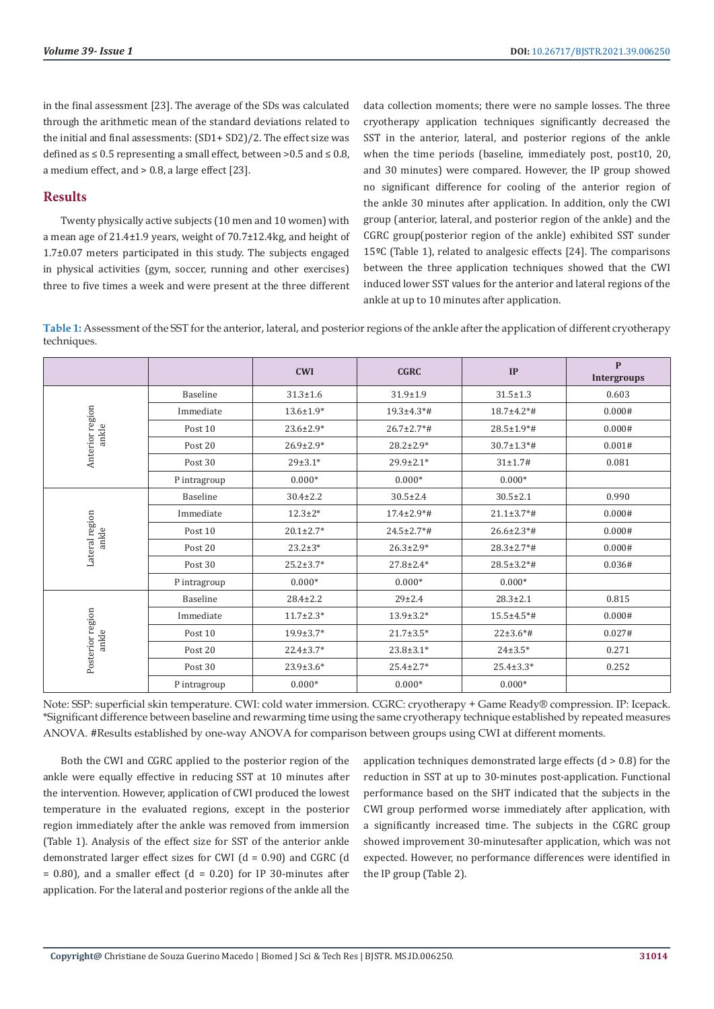in the final assessment [23]. The average of the SDs was calculated through the arithmetic mean of the standard deviations related to the initial and final assessments: (SD1+ SD2)/2. The effect size was defined as  $\leq 0.5$  representing a small effect, between >0.5 and  $\leq 0.8$ , a medium effect, and > 0.8, a large effect [23].

# **Results**

Twenty physically active subjects (10 men and 10 women) with a mean age of 21.4±1.9 years, weight of 70.7±12.4kg, and height of 1.7±0.07 meters participated in this study. The subjects engaged in physical activities (gym, soccer, running and other exercises) three to five times a week and were present at the three different

data collection moments; there were no sample losses. The three cryotherapy application techniques significantly decreased the SST in the anterior, lateral, and posterior regions of the ankle when the time periods (baseline, immediately post, post10, 20, and 30 minutes) were compared. However, the IP group showed no significant difference for cooling of the anterior region of the ankle 30 minutes after application. In addition, only the CWI group (anterior, lateral, and posterior region of the ankle) and the CGRC group(posterior region of the ankle) exhibited SST sunder 15ºC (Table 1), related to analgesic effects [24]. The comparisons between the three application techniques showed that the CWI induced lower SST values for the anterior and lateral regions of the ankle at up to 10 minutes after application.

**Table 1:** Assessment of the SST for the anterior, lateral, and posterior regions of the ankle after the application of different cryotherapy techniques.

|                           |              | <b>CWI</b>      | <b>CGRC</b>       | IP                 | $\mathbf{P}$<br>Intergroups |
|---------------------------|--------------|-----------------|-------------------|--------------------|-----------------------------|
| Anterior region<br>ankle  | Baseline     | $31.3 \pm 1.6$  | $31.9 \pm 1.9$    | $31.5 \pm 1.3$     | 0.603                       |
|                           | Immediate    | $13.6 \pm 1.9*$ | $19.3 + 4.3*$ #   | 18.7±4.2*#         | 0.000#                      |
|                           | Post 10      | 23.6±2.9*       | $26.7 \pm 2.7$ *# | $28.5 \pm 1.9$ *#  | 0.000#                      |
|                           | Post 20      | $26.9 \pm 2.9*$ | 28.2±2.9*         | $30.7 \pm 1.3* \#$ | 0.001#                      |
|                           | Post 30      | $29 \pm 3.1*$   | 29.9±2.1*         | 31±1.7#            | 0.081                       |
|                           | P intragroup | $0.000*$        | $0.000*$          | $0.000*$           |                             |
| Lateral region<br>ankle   | Baseline     | $30.4 \pm 2.2$  | $30.5 \pm 2.4$    | $30.5 \pm 2.1$     | 0.990                       |
|                           | Immediate    | $12.3 \pm 2*$   | $17.4 \pm 2.9*$ # | $21.1 \pm 3.7$ *#  | 0.000#                      |
|                           | Post 10      | $20.1 \pm 2.7*$ | $24.5 \pm 2.7$ *# | $26.6 \pm 2.3$ *#  | 0.000#                      |
|                           | Post 20      | $23.2 \pm 3*$   | $26.3 \pm 2.9*$   | $28.3 \pm 2.7$ *#  | 0.000#                      |
|                           | Post 30      | $25.2 \pm 3.7*$ | $27.8 \pm 2.4*$   | $28.5 \pm 3.2* \#$ | 0.036#                      |
|                           | P intragroup | $0.000*$        | $0.000*$          | $0.000*$           |                             |
| Posterior region<br>ankle | Baseline     | $28.4 \pm 2.2$  | $29 \pm 2.4$      | $28.3 \pm 2.1$     | 0.815                       |
|                           | Immediate    | $11.7 \pm 2.3*$ | 13.9±3.2*         | $15.5 + 4.5*$ #    | 0.000#                      |
|                           | Post 10      | $19.9 \pm 3.7*$ | $21.7 \pm 3.5*$   | $22\pm3.6*$ #      | 0.027#                      |
|                           | Post 20      | $22.4 \pm 3.7*$ | 23.8±3.1*         | $24 \pm 3.5*$      | 0.271                       |
|                           | Post 30      | $23.9 \pm 3.6*$ | 25.4±2.7*         | $25.4 \pm 3.3*$    | 0.252                       |
|                           | P intragroup | $0.000*$        | $0.000*$          | $0.000*$           |                             |

Note: SSP: superficial skin temperature. CWI: cold water immersion. CGRC: cryotherapy + Game Ready® compression. IP: Icepack. \*Significant difference between baseline and rewarming time using the same cryotherapy technique established by repeated measures ANOVA. #Results established by one-way ANOVA for comparison between groups using CWI at different moments.

Both the CWI and CGRC applied to the posterior region of the ankle were equally effective in reducing SST at 10 minutes after the intervention. However, application of CWI produced the lowest temperature in the evaluated regions, except in the posterior region immediately after the ankle was removed from immersion (Table 1). Analysis of the effect size for SST of the anterior ankle demonstrated larger effect sizes for CWI (d = 0.90) and CGRC (d  $= 0.80$ ), and a smaller effect (d  $= 0.20$ ) for IP 30-minutes after application. For the lateral and posterior regions of the ankle all the

application techniques demonstrated large effects  $(d > 0.8)$  for the reduction in SST at up to 30-minutes post-application. Functional performance based on the SHT indicated that the subjects in the CWI group performed worse immediately after application, with a significantly increased time. The subjects in the CGRC group showed improvement 30-minutesafter application, which was not expected. However, no performance differences were identified in the IP group (Table 2).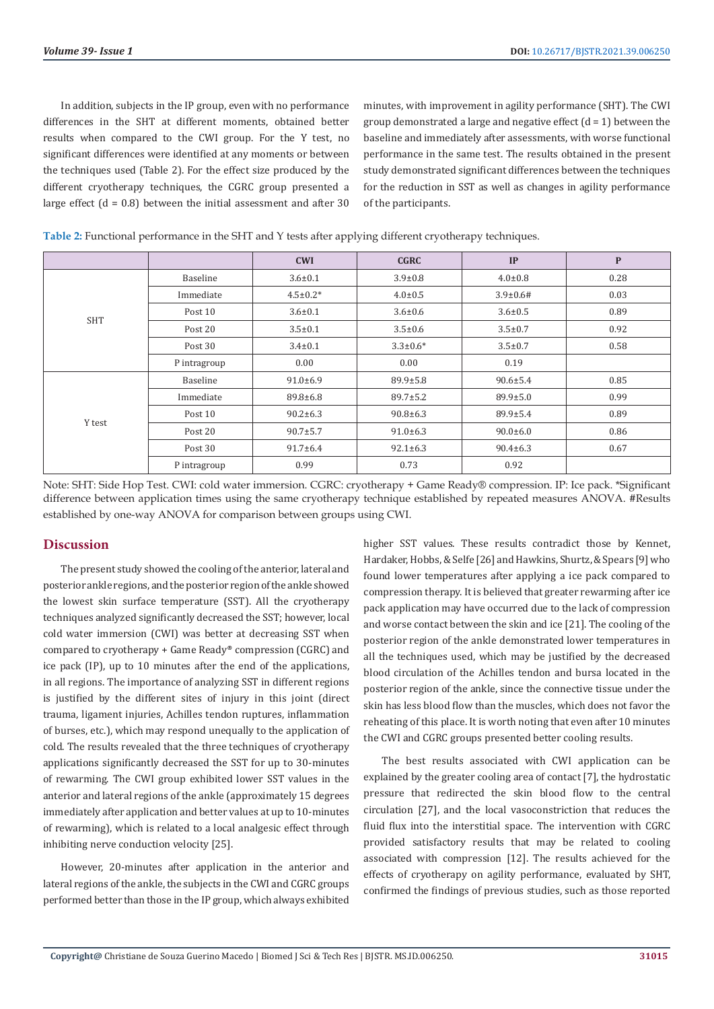In addition, subjects in the IP group, even with no performance differences in the SHT at different moments, obtained better results when compared to the CWI group. For the Y test, no significant differences were identified at any moments or between the techniques used (Table 2). For the effect size produced by the different cryotherapy techniques, the CGRC group presented a large effect  $(d = 0.8)$  between the initial assessment and after 30

minutes, with improvement in agility performance (SHT). The CWI group demonstrated a large and negative effect  $(d = 1)$  between the baseline and immediately after assessments, with worse functional performance in the same test. The results obtained in the present study demonstrated significant differences between the techniques for the reduction in SST as well as changes in agility performance of the participants.

|            |              | <b>CWI</b>     | <b>CGRC</b>    | IP               | $\mathbf P$ |
|------------|--------------|----------------|----------------|------------------|-------------|
| <b>SHT</b> | Baseline     | $3.6 \pm 0.1$  | $3.9 \pm 0.8$  | $4.0 \pm 0.8$    | 0.28        |
|            | Immediate    | $4.5 \pm 0.2*$ | $4.0 \pm 0.5$  | $3.9 \pm 0.6 \#$ | 0.03        |
|            | Post 10      | $3.6 \pm 0.1$  | $3.6 \pm 0.6$  | $3.6 \pm 0.5$    | 0.89        |
|            | Post 20      | $3.5 \pm 0.1$  | $3.5 \pm 0.6$  | $3.5 \pm 0.7$    | 0.92        |
|            | Post 30      | $3.4 \pm 0.1$  | $3.3 \pm 0.6*$ | $3.5 \pm 0.7$    | 0.58        |
|            | P intragroup | 0.00           | 0.00           | 0.19             |             |
| Y test     | Baseline     | $91.0 + 6.9$   | $89.9 \pm 5.8$ | $90.6 \pm 5.4$   | 0.85        |
|            | Immediate    | $89.8 \pm 6.8$ | $89.7 \pm 5.2$ | $89.9 \pm 5.0$   | 0.99        |
|            | Post 10      | $90.2 \pm 6.3$ | $90.8 \pm 6.3$ | $89.9 \pm 5.4$   | 0.89        |
|            | Post 20      | $90.7 \pm 5.7$ | $91.0 \pm 6.3$ | $90.0 \pm 6.0$   | 0.86        |
|            | Post 30      | $91.7 + 6.4$   | $92.1 \pm 6.3$ | $90.4 \pm 6.3$   | 0.67        |
|            | P intragroup | 0.99           | 0.73           | 0.92             |             |

**Table 2:** Functional performance in the SHT and Y tests after applying different cryotherapy techniques.

Note: SHT: Side Hop Test. CWI: cold water immersion. CGRC: cryotherapy + Game Ready® compression. IP: Ice pack. \*Significant difference between application times using the same cryotherapy technique established by repeated measures ANOVA. #Results established by one-way ANOVA for comparison between groups using CWI.

### **Discussion**

The present study showed the cooling of the anterior, lateral and posterior ankle regions, and the posterior region of the ankle showed the lowest skin surface temperature (SST). All the cryotherapy techniques analyzed significantly decreased the SST; however, local cold water immersion (CWI) was better at decreasing SST when compared to cryotherapy + Game Ready® compression (CGRC) and ice pack (IP), up to 10 minutes after the end of the applications, in all regions. The importance of analyzing SST in different regions is justified by the different sites of injury in this joint (direct trauma, ligament injuries, Achilles tendon ruptures, inflammation of burses, etc.), which may respond unequally to the application of cold. The results revealed that the three techniques of cryotherapy applications significantly decreased the SST for up to 30-minutes of rewarming. The CWI group exhibited lower SST values in the anterior and lateral regions of the ankle (approximately 15 degrees immediately after application and better values at up to 10-minutes of rewarming), which is related to a local analgesic effect through inhibiting nerve conduction velocity [25].

However, 20-minutes after application in the anterior and lateral regions of the ankle, the subjects in the CWI and CGRC groups performed better than those in the IP group, which always exhibited higher SST values. These results contradict those by Kennet, Hardaker, Hobbs, & Selfe [26] and Hawkins, Shurtz, & Spears [9] who found lower temperatures after applying a ice pack compared to compression therapy. It is believed that greater rewarming after ice pack application may have occurred due to the lack of compression and worse contact between the skin and ice [21]. The cooling of the posterior region of the ankle demonstrated lower temperatures in all the techniques used, which may be justified by the decreased blood circulation of the Achilles tendon and bursa located in the posterior region of the ankle, since the connective tissue under the skin has less blood flow than the muscles, which does not favor the reheating of this place. It is worth noting that even after 10 minutes the CWI and CGRC groups presented better cooling results.

The best results associated with CWI application can be explained by the greater cooling area of contact [7], the hydrostatic pressure that redirected the skin blood flow to the central circulation [27], and the local vasoconstriction that reduces the fluid flux into the interstitial space. The intervention with CGRC provided satisfactory results that may be related to cooling associated with compression [12]. The results achieved for the effects of cryotherapy on agility performance, evaluated by SHT, confirmed the findings of previous studies, such as those reported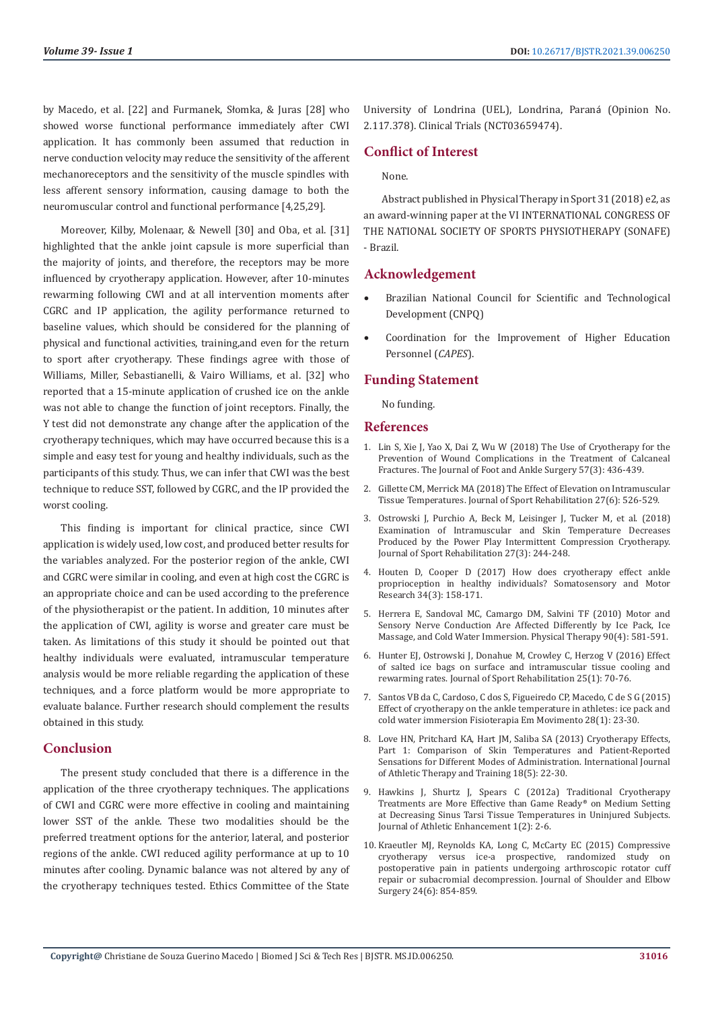by Macedo, et al. [22] and Furmanek, Słomka, & Juras [28] who showed worse functional performance immediately after CWI application. It has commonly been assumed that reduction in nerve conduction velocity may reduce the sensitivity of the afferent mechanoreceptors and the sensitivity of the muscle spindles with less afferent sensory information, causing damage to both the neuromuscular control and functional performance [4,25,29].

Moreover, Kilby, Molenaar, & Newell [30] and Oba, et al. [31] highlighted that the ankle joint capsule is more superficial than the majority of joints, and therefore, the receptors may be more influenced by cryotherapy application. However, after 10-minutes rewarming following CWI and at all intervention moments after CGRC and IP application, the agility performance returned to baseline values, which should be considered for the planning of physical and functional activities, training,and even for the return to sport after cryotherapy. These findings agree with those of Williams, Miller, Sebastianelli, & Vairo Williams, et al. [32] who reported that a 15-minute application of crushed ice on the ankle was not able to change the function of joint receptors. Finally, the Y test did not demonstrate any change after the application of the cryotherapy techniques, which may have occurred because this is a simple and easy test for young and healthy individuals, such as the participants of this study. Thus, we can infer that CWI was the best technique to reduce SST, followed by CGRC, and the IP provided the worst cooling.

This finding is important for clinical practice, since CWI application is widely used, low cost, and produced better results for the variables analyzed. For the posterior region of the ankle, CWI and CGRC were similar in cooling, and even at high cost the CGRC is an appropriate choice and can be used according to the preference of the physiotherapist or the patient. In addition, 10 minutes after the application of CWI, agility is worse and greater care must be taken. As limitations of this study it should be pointed out that healthy individuals were evaluated, intramuscular temperature analysis would be more reliable regarding the application of these techniques, and a force platform would be more appropriate to evaluate balance. Further research should complement the results obtained in this study.

### **Conclusion**

The present study concluded that there is a difference in the application of the three cryotherapy techniques. The applications of CWI and CGRC were more effective in cooling and maintaining lower SST of the ankle. These two modalities should be the preferred treatment options for the anterior, lateral, and posterior regions of the ankle. CWI reduced agility performance at up to 10 minutes after cooling. Dynamic balance was not altered by any of the cryotherapy techniques tested. Ethics Committee of the State

University of Londrina (UEL), Londrina, Paraná (Opinion No. 2.117.378). Clinical Trials (NCT03659474).

# **Conflict of Interest**

## None.

Abstract published in Physical Therapy in Sport 31 (2018) e2, as an award-winning paper at the VI INTERNATIONAL CONGRESS OF THE NATIONAL SOCIETY OF SPORTS PHYSIOTHERAPY (SONAFE) - Brazil.

### **Acknowledgement**

- Brazilian National Council for Scientific and Technological Development (CNPQ)
- Coordination for the Improvement of Higher Education Personnel (*CAPES*).

# **Funding Statement**

No funding.

#### **References**

- 1. [Lin S, Xie J, Yao X, Dai Z, Wu W \(2018\) The Use of Cryotherapy for the](https://pubmed.ncbi.nlm.nih.gov/29685558/) [Prevention of Wound Complications in the Treatment of Calcaneal](https://pubmed.ncbi.nlm.nih.gov/29685558/) [Fractures. The Journal of Foot and Ankle Surgery 57\(3\): 436-439.](https://pubmed.ncbi.nlm.nih.gov/29685558/)
- 2. [Gillette CM, Merrick MA \(2018\) The Effect of Elevation on Intramuscular](https://pubmed.ncbi.nlm.nih.gov/28872444/) [Tissue Temperatures. Journal of Sport Rehabilitation 27\(6\): 526-529.](https://pubmed.ncbi.nlm.nih.gov/28872444/)
- 3. [Ostrowski J, Purchio A, Beck M, Leisinger J, Tucker M, et al. \(2018\)](https://pubmed.ncbi.nlm.nih.gov/28422604/) [Examination of Intramuscular and Skin Temperature Decreases](https://pubmed.ncbi.nlm.nih.gov/28422604/) [Produced by the Power Play Intermittent Compression Cryotherapy.](https://pubmed.ncbi.nlm.nih.gov/28422604/) [Journal of Sport Rehabilitation 27\(3\): 244-248.](https://pubmed.ncbi.nlm.nih.gov/28422604/)
- 4. [Houten D, Cooper D \(2017\) How does cryotherapy effect ankle](https://pubmed.ncbi.nlm.nih.gov/28952410/) [proprioception in healthy individuals? Somatosensory and Motor](https://pubmed.ncbi.nlm.nih.gov/28952410/) [Research 34\(3\): 158-171.](https://pubmed.ncbi.nlm.nih.gov/28952410/)
- 5. [Herrera E, Sandoval MC, Camargo DM, Salvini TF \(2010\) Motor and](https://pubmed.ncbi.nlm.nih.gov/20185615/) [Sensory Nerve Conduction Are Affected Differently by Ice Pack, Ice](https://pubmed.ncbi.nlm.nih.gov/20185615/) [Massage, and Cold Water Immersion. Physical Therapy 90\(4\): 581-591.](https://pubmed.ncbi.nlm.nih.gov/20185615/)
- 6. [Hunter EJ, Ostrowski J, Donahue M, Crowley C, Herzog V \(2016\) Effect](https://pubmed.ncbi.nlm.nih.gov/25611339/) [of salted ice bags on surface and intramuscular tissue cooling and](https://pubmed.ncbi.nlm.nih.gov/25611339/) [rewarming rates. Journal of Sport Rehabilitation 25\(1\): 70-76.](https://pubmed.ncbi.nlm.nih.gov/25611339/)
- 7. [Santos VB da C, Cardoso, C dos S, Figueiredo CP, Macedo, C de S G \(2015\)](https://www.scielo.br/j/fm/a/9WBNXgkVsYWGdpK37sDxFzs/?lang=en) [Effect of cryotherapy on the ankle temperature in athletes: ice pack and](https://www.scielo.br/j/fm/a/9WBNXgkVsYWGdpK37sDxFzs/?lang=en) [cold water immersion Fisioterapia Em Movimento 28\(1\): 23-30.](https://www.scielo.br/j/fm/a/9WBNXgkVsYWGdpK37sDxFzs/?lang=en)
- 8. [Love HN, Pritchard KA, Hart JM, Saliba SA \(2013\) Cryotherapy Effects,](https://journals.humankinetics.com/view/journals/ijatt/18/5/article-p22.xml) [Part 1: Comparison of Skin Temperatures and Patient-Reported](https://journals.humankinetics.com/view/journals/ijatt/18/5/article-p22.xml) [Sensations for Different Modes of Administration. International Journal](https://journals.humankinetics.com/view/journals/ijatt/18/5/article-p22.xml) [of Athletic Therapy and Training 18\(5\): 22-30.](https://journals.humankinetics.com/view/journals/ijatt/18/5/article-p22.xml)
- 9. [Hawkins J, Shurtz J, Spears C \(2012a\) Traditional Cryotherapy](https://www.scitechnol.com/2324-9080/2324-9080-1-101.pdf) [Treatments are More Effective than Game Ready](https://www.scitechnol.com/2324-9080/2324-9080-1-101.pdf)® on Medium Setting [at Decreasing Sinus Tarsi Tissue Temperatures in Uninjured Subjects.](https://www.scitechnol.com/2324-9080/2324-9080-1-101.pdf) [Journal of Athletic Enhancement 1\(2\): 2-6.](https://www.scitechnol.com/2324-9080/2324-9080-1-101.pdf)
- 10. [Kraeutler MJ, Reynolds KA, Long C, McCarty EC \(2015\) Compressive](https://pubmed.ncbi.nlm.nih.gov/25825138/) [cryotherapy versus ice-a prospective, randomized study on](https://pubmed.ncbi.nlm.nih.gov/25825138/) [postoperative pain in patients undergoing arthroscopic rotator cuff](https://pubmed.ncbi.nlm.nih.gov/25825138/) [repair or subacromial decompression. Journal of Shoulder and Elbow](https://pubmed.ncbi.nlm.nih.gov/25825138/) [Surgery 24\(6\): 854-859.](https://pubmed.ncbi.nlm.nih.gov/25825138/)